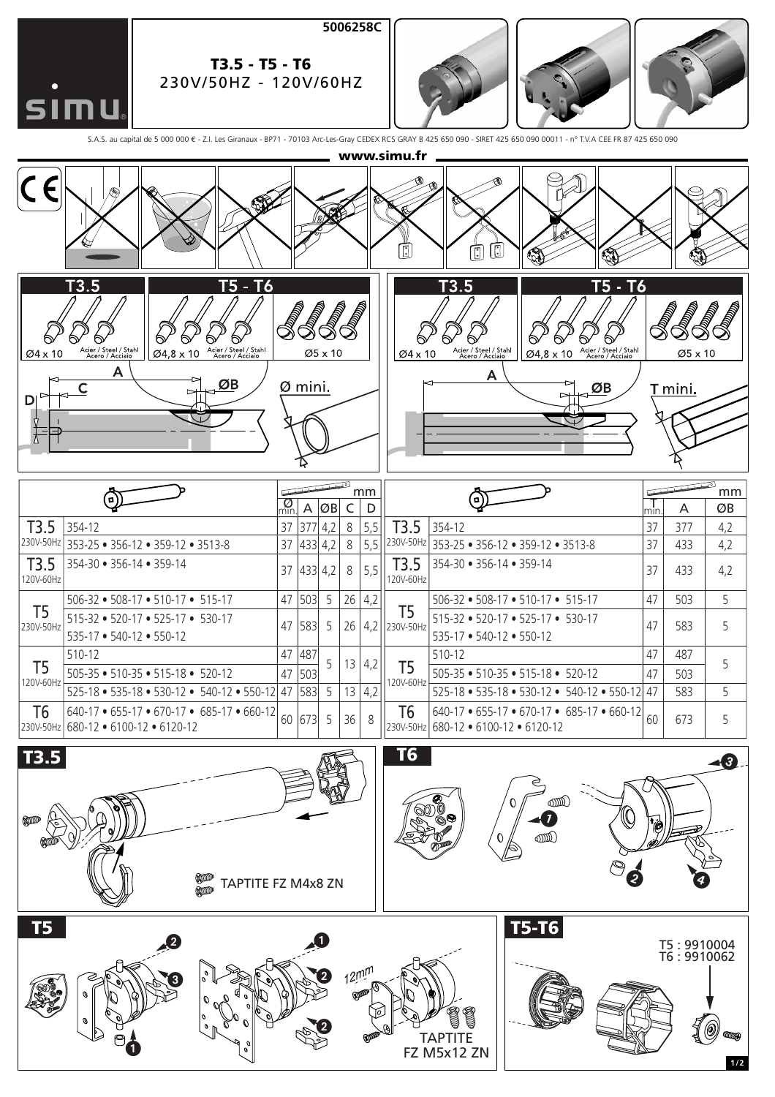